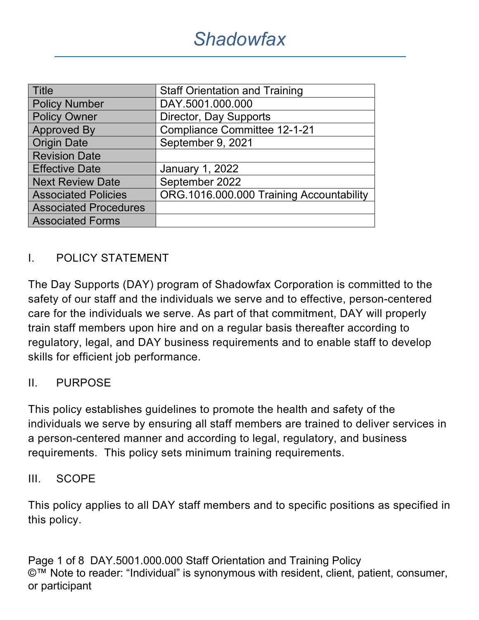| <b>Title</b>                 | <b>Staff Orientation and Training</b>    |  |  |
|------------------------------|------------------------------------------|--|--|
| <b>Policy Number</b>         | DAY.5001.000.000                         |  |  |
| <b>Policy Owner</b>          | Director, Day Supports                   |  |  |
| <b>Approved By</b>           | <b>Compliance Committee 12-1-21</b>      |  |  |
| <b>Origin Date</b>           | September 9, 2021                        |  |  |
| <b>Revision Date</b>         |                                          |  |  |
| <b>Effective Date</b>        | January 1, 2022                          |  |  |
| <b>Next Review Date</b>      | September 2022                           |  |  |
| <b>Associated Policies</b>   | ORG.1016.000.000 Training Accountability |  |  |
| <b>Associated Procedures</b> |                                          |  |  |
| <b>Associated Forms</b>      |                                          |  |  |

## I. POLICY STATEMENT

The Day Supports (DAY) program of Shadowfax Corporation is committed to the safety of our staff and the individuals we serve and to effective, person-centered care for the individuals we serve. As part of that commitment, DAY will properly train staff members upon hire and on a regular basis thereafter according to regulatory, legal, and DAY business requirements and to enable staff to develop skills for efficient job performance.

#### II. PURPOSE

This policy establishes guidelines to promote the health and safety of the individuals we serve by ensuring all staff members are trained to deliver services in a person-centered manner and according to legal, regulatory, and business requirements. This policy sets minimum training requirements.

#### III. SCOPE

This policy applies to all DAY staff members and to specific positions as specified in this policy.

Page 1 of 8 DAY.5001.000.000 Staff Orientation and Training Policy ©™ Note to reader: "Individual" is synonymous with resident, client, patient, consumer, or participant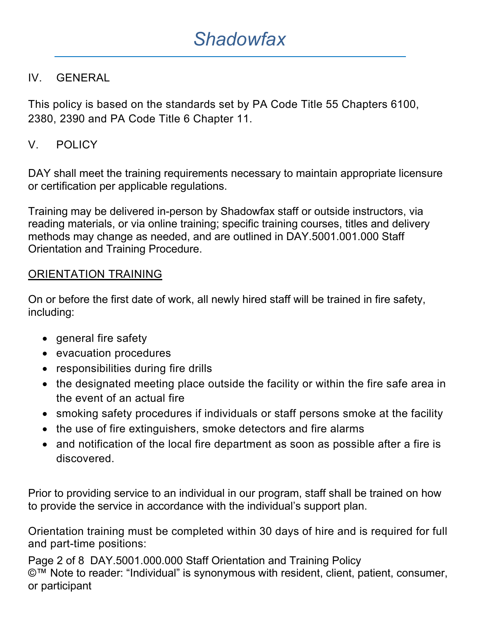### IV. GENERAL

This policy is based on the standards set by PA Code Title 55 Chapters 6100, 2380, 2390 and PA Code Title 6 Chapter 11.

## V. POLICY

DAY shall meet the training requirements necessary to maintain appropriate licensure or certification per applicable regulations.

Training may be delivered in-person by Shadowfax staff or outside instructors, via reading materials, or via online training; specific training courses, titles and delivery methods may change as needed, and are outlined in DAY.5001.001.000 Staff Orientation and Training Procedure.

#### ORIENTATION TRAINING

On or before the first date of work, all newly hired staff will be trained in fire safety, including:

- general fire safety
- evacuation procedures
- responsibilities during fire drills
- the designated meeting place outside the facility or within the fire safe area in the event of an actual fire
- smoking safety procedures if individuals or staff persons smoke at the facility
- the use of fire extinguishers, smoke detectors and fire alarms
- and notification of the local fire department as soon as possible after a fire is discovered.

Prior to providing service to an individual in our program, staff shall be trained on how to provide the service in accordance with the individual's support plan.

Orientation training must be completed within 30 days of hire and is required for full and part-time positions:

Page 2 of 8 DAY.5001.000.000 Staff Orientation and Training Policy ©™ Note to reader: "Individual" is synonymous with resident, client, patient, consumer, or participant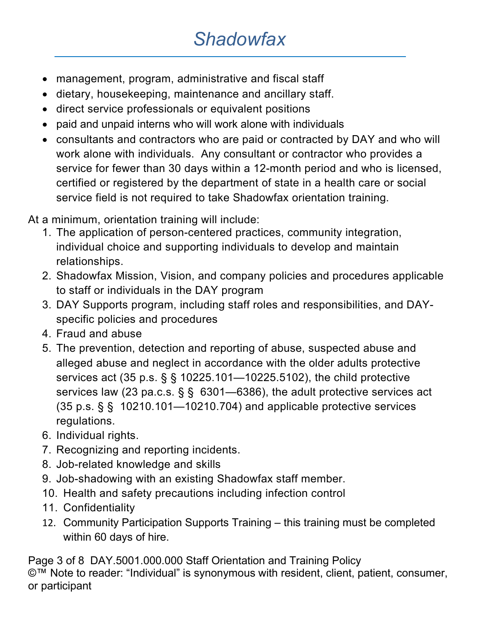- management, program, administrative and fiscal staff
- dietary, housekeeping, maintenance and ancillary staff.
- direct service professionals or equivalent positions
- paid and unpaid interns who will work alone with individuals
- consultants and contractors who are paid or contracted by DAY and who will work alone with individuals. Any consultant or contractor who provides a service for fewer than 30 days within a 12-month period and who is licensed, certified or registered by the department of state in a health care or social service field is not required to take Shadowfax orientation training.

At a minimum, orientation training will include:

- 1. The application of person-centered practices, community integration, individual choice and supporting individuals to develop and maintain relationships.
- 2. Shadowfax Mission, Vision, and company policies and procedures applicable to staff or individuals in the DAY program
- 3. DAY Supports program, including staff roles and responsibilities, and DAYspecific policies and procedures
- 4. Fraud and abuse
- 5. The prevention, detection and reporting of abuse, suspected abuse and alleged abuse and neglect in accordance with the older adults protective services act (35 p.s. § § 10225.101—10225.5102), the child protective services law (23 pa.c.s. § § 6301—6386), the adult protective services act (35 p.s. § § 10210.101—10210.704) and applicable protective services regulations.
- 6. Individual rights.
- 7. Recognizing and reporting incidents.
- 8. Job-related knowledge and skills
- 9. Job-shadowing with an existing Shadowfax staff member.
- 10. Health and safety precautions including infection control
- 11. Confidentiality
- 12. Community Participation Supports Training this training must be completed within 60 days of hire.

Page 3 of 8 DAY.5001.000.000 Staff Orientation and Training Policy ©™ Note to reader: "Individual" is synonymous with resident, client, patient, consumer, or participant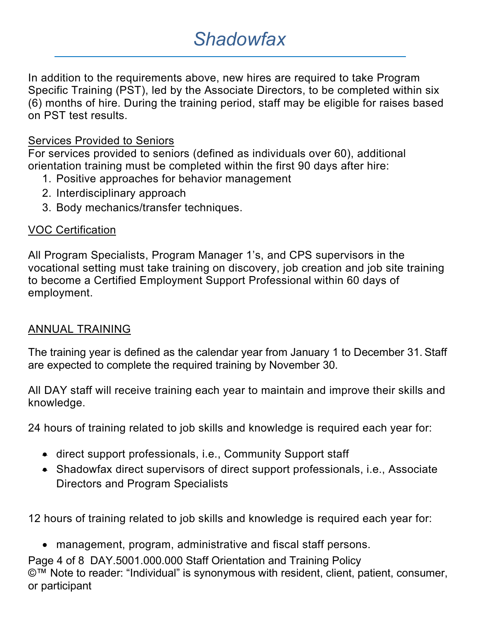In addition to the requirements above, new hires are required to take Program Specific Training (PST), led by the Associate Directors, to be completed within six (6) months of hire. During the training period, staff may be eligible for raises based on PST test results.

#### Services Provided to Seniors

For services provided to seniors (defined as individuals over 60), additional orientation training must be completed within the first 90 days after hire:

- 1. Positive approaches for behavior management
- 2. Interdisciplinary approach
- 3. Body mechanics/transfer techniques.

#### VOC Certification

All Program Specialists, Program Manager 1's, and CPS supervisors in the vocational setting must take training on discovery, job creation and job site training to become a Certified Employment Support Professional within 60 days of employment.

#### ANNUAL TRAINING

The training year is defined as the calendar year from January 1 to December 31. Staff are expected to complete the required training by November 30.

All DAY staff will receive training each year to maintain and improve their skills and knowledge.

24 hours of training related to job skills and knowledge is required each year for:

- direct support professionals, i.e., Community Support staff
- Shadowfax direct supervisors of direct support professionals, i.e., Associate Directors and Program Specialists

12 hours of training related to job skills and knowledge is required each year for:

Page 4 of 8 DAY.5001.000.000 Staff Orientation and Training Policy ©™ Note to reader: "Individual" is synonymous with resident, client, patient, consumer, or participant • management, program, administrative and fiscal staff persons.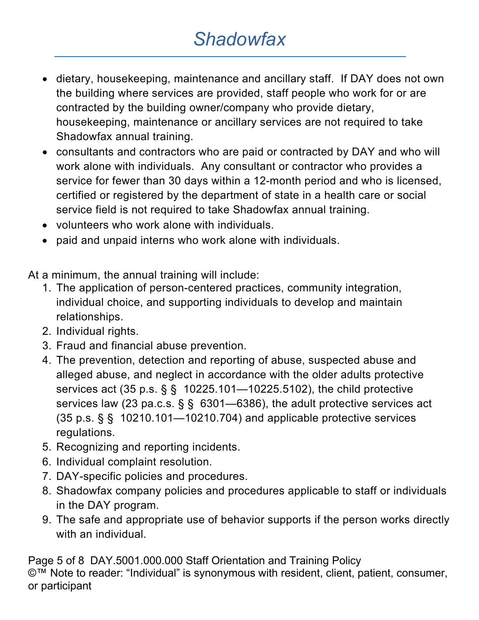- dietary, housekeeping, maintenance and ancillary staff. If DAY does not own the building where services are provided, staff people who work for or are contracted by the building owner/company who provide dietary, housekeeping, maintenance or ancillary services are not required to take Shadowfax annual training.
- consultants and contractors who are paid or contracted by DAY and who will work alone with individuals. Any consultant or contractor who provides a service for fewer than 30 days within a 12-month period and who is licensed, certified or registered by the department of state in a health care or social service field is not required to take Shadowfax annual training.
- volunteers who work alone with individuals.
- paid and unpaid interns who work alone with individuals.

At a minimum, the annual training will include:

- 1. The application of person-centered practices, community integration, individual choice, and supporting individuals to develop and maintain relationships.
- 2. Individual rights.
- 3. Fraud and financial abuse prevention.
- 4. The prevention, detection and reporting of abuse, suspected abuse and alleged abuse, and neglect in accordance with the older adults protective services act (35 p.s. § § 10225.101—10225.5102), the child protective services law (23 pa.c.s. § § 6301—6386), the adult protective services act (35 p.s. § § 10210.101—10210.704) and applicable protective services regulations.
- 5. Recognizing and reporting incidents.
- 6. Individual complaint resolution.
- 7. DAY-specific policies and procedures.
- 8. Shadowfax company policies and procedures applicable to staff or individuals in the DAY program.
- 9. The safe and appropriate use of behavior supports if the person works directly with an individual.

Page 5 of 8 DAY.5001.000.000 Staff Orientation and Training Policy ©™ Note to reader: "Individual" is synonymous with resident, client, patient, consumer, or participant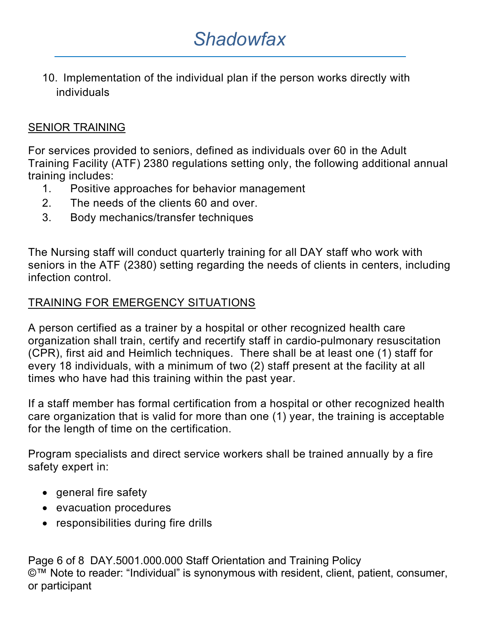10. Implementation of the individual plan if the person works directly with individuals

#### SENIOR TRAINING

For services provided to seniors, defined as individuals over 60 in the Adult Training Facility (ATF) 2380 regulations setting only, the following additional annual training includes:

- 1. Positive approaches for behavior management
- 2. The needs of the clients 60 and over.
- 3. Body mechanics/transfer techniques

The Nursing staff will conduct quarterly training for all DAY staff who work with seniors in the ATF (2380) setting regarding the needs of clients in centers, including infection control.

## TRAINING FOR EMERGENCY SITUATIONS

A person certified as a trainer by a hospital or other recognized health care organization shall train, certify and recertify staff in cardio-pulmonary resuscitation (CPR), first aid and Heimlich techniques. There shall be at least one (1) staff for every 18 individuals, with a minimum of two (2) staff present at the facility at all times who have had this training within the past year.

If a staff member has formal certification from a hospital or other recognized health care organization that is valid for more than one (1) year, the training is acceptable for the length of time on the certification.

Program specialists and direct service workers shall be trained annually by a fire safety expert in:

- general fire safety
- evacuation procedures
- responsibilities during fire drills

Page 6 of 8 DAY.5001.000.000 Staff Orientation and Training Policy ©™ Note to reader: "Individual" is synonymous with resident, client, patient, consumer, or participant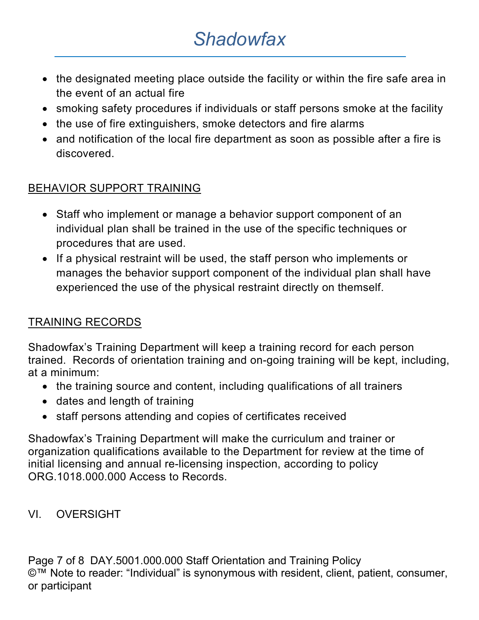- the designated meeting place outside the facility or within the fire safe area in the event of an actual fire
- smoking safety procedures if individuals or staff persons smoke at the facility
- the use of fire extinguishers, smoke detectors and fire alarms
- and notification of the local fire department as soon as possible after a fire is discovered.

## BEHAVIOR SUPPORT TRAINING

- Staff who implement or manage a behavior support component of an individual plan shall be trained in the use of the specific techniques or procedures that are used.
- If a physical restraint will be used, the staff person who implements or manages the behavior support component of the individual plan shall have experienced the use of the physical restraint directly on themself.

### TRAINING RECORDS

Shadowfax's Training Department will keep a training record for each person trained. Records of orientation training and on-going training will be kept, including, at a minimum:

- the training source and content, including qualifications of all trainers
- dates and length of training
- staff persons attending and copies of certificates received

Shadowfax's Training Department will make the curriculum and trainer or organization qualifications available to the Department for review at the time of initial licensing and annual re-licensing inspection, according to policy ORG.1018.000.000 Access to Records.

VI. OVERSIGHT

Page 7 of 8 DAY.5001.000.000 Staff Orientation and Training Policy ©™ Note to reader: "Individual" is synonymous with resident, client, patient, consumer, or participant